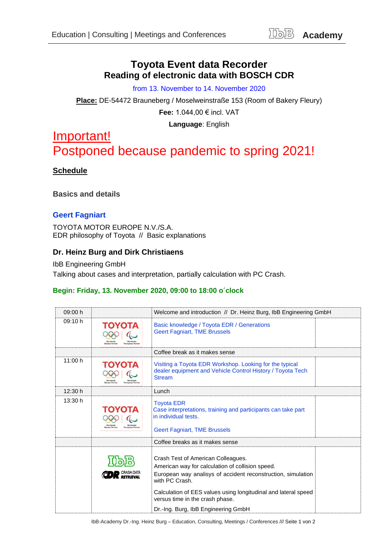## **Toyota Event data Recorder Reading of electronic data with BOSCH CDR**

from 13. November to 14. November 2020

**Place:** DE-54472 Brauneberg / Moselweinstraße 153 (Room of Bakery Fleury) **Fee:** 1.044,00 € incl. VAT

**Language**: English

# Important! Postponed because pandemic to spring 2021!

## **Schedule**

**Basics and details**

#### **Geert Fagniart**

TOYOTA MOTOR EUROPE N.V./S.A. EDR philosophy of Toyota // Basic explanations

## **Dr. Heinz Burg and Dirk Christiaens**

IbB Engineering GmbH Talking about cases and interpretation, partially calculation with PC Crash.

#### **Begin: Friday, 13. November 2020, 09:00 to 18:00 o´clock**

| 09:00 h |        | Welcome and introduction // Dr. Heinz Burg, IbB Engineering GmbH                                                                                                                                                                           |  |
|---------|--------|--------------------------------------------------------------------------------------------------------------------------------------------------------------------------------------------------------------------------------------------|--|
| 09:10 h | ΤΟΥΟΤΑ | Basic knowledge / Toyota EDR / Generations<br><b>Geert Fagniart, TME Brussels</b>                                                                                                                                                          |  |
|         |        | Coffee break as it makes sense                                                                                                                                                                                                             |  |
| 11:00 h | ΤΟΥΟΤΑ | Visiting a Toyota EDR Workshop. Looking for the typical<br>dealer equipment and Vehicle Control History / Toyota Tech<br><b>Stream</b>                                                                                                     |  |
| 12:30 h |        | Lunch                                                                                                                                                                                                                                      |  |
| 13:30 h | ΤΟΥΟΤΑ | <b>Toyota EDR</b><br>Case interpretations, training and participants can take part<br>in individual tests.<br><b>Geert Fagniart, TME Brussels</b>                                                                                          |  |
|         |        | Coffee breaks as it makes sense                                                                                                                                                                                                            |  |
|         |        | Crash Test of American Colleagues.<br>American way for calculation of collision speed.<br>European way analisys of accident reconstruction, simulation<br>with PC Crash.<br>Calculation of EES values using longitudinal and lateral speed |  |
|         |        | versus time in the crash phase.                                                                                                                                                                                                            |  |
|         |        | Dr.-Ing. Burg, IbB Engineering GmbH                                                                                                                                                                                                        |  |